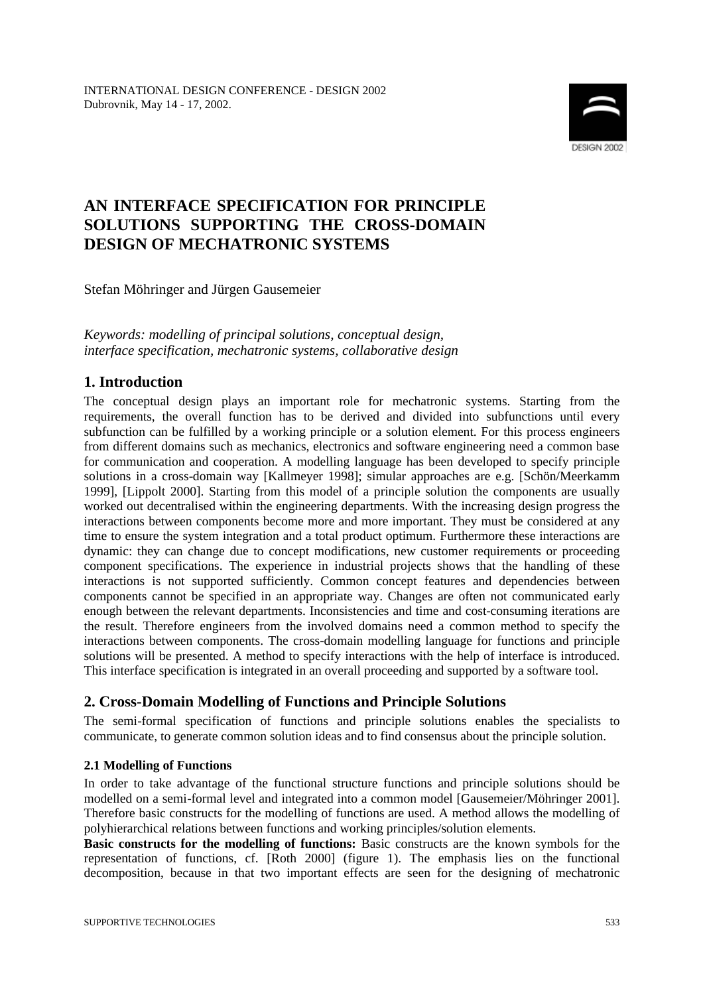

# **AN INTERFACE SPECIFICATION FOR PRINCIPLE SOLUTIONS SUPPORTING THE CROSS-DOMAIN DESIGN OF MECHATRONIC SYSTEMS**

Stefan Möhringer and Jürgen Gausemeier

*Keywords: modelling of principal solutions, conceptual design, interface specification, mechatronic systems, collaborative design*

## **1. Introduction**

The conceptual design plays an important role for mechatronic systems. Starting from the requirements, the overall function has to be derived and divided into subfunctions until every subfunction can be fulfilled by a working principle or a solution element. For this process engineers from different domains such as mechanics, electronics and software engineering need a common base for communication and cooperation. A modelling language has been developed to specify principle solutions in a cross-domain way [Kallmeyer 1998]; simular approaches are e.g. [Schön/Meerkamm 1999], [Lippolt 2000]. Starting from this model of a principle solution the components are usually worked out decentralised within the engineering departments. With the increasing design progress the interactions between components become more and more important. They must be considered at any time to ensure the system integration and a total product optimum. Furthermore these interactions are dynamic: they can change due to concept modifications, new customer requirements or proceeding component specifications. The experience in industrial projects shows that the handling of these interactions is not supported sufficiently. Common concept features and dependencies between components cannot be specified in an appropriate way. Changes are often not communicated early enough between the relevant departments. Inconsistencies and time and cost-consuming iterations are the result. Therefore engineers from the involved domains need a common method to specify the interactions between components. The cross-domain modelling language for functions and principle solutions will be presented. A method to specify interactions with the help of interface is introduced. This interface specification is integrated in an overall proceeding and supported by a software tool.

## **2. Cross-Domain Modelling of Functions and Principle Solutions**

The semi-formal specification of functions and principle solutions enables the specialists to communicate, to generate common solution ideas and to find consensus about the principle solution.

#### **2.1 Modelling of Functions**

In order to take advantage of the functional structure functions and principle solutions should be modelled on a semi-formal level and integrated into a common model [Gausemeier/Möhringer 2001]. Therefore basic constructs for the modelling of functions are used. A method allows the modelling of polyhierarchical relations between functions and working principles/solution elements.

**Basic constructs for the modelling of functions:** Basic constructs are the known symbols for the representation of functions, cf. [Roth 2000] (figure 1). The emphasis lies on the functional decomposition, because in that two important effects are seen for the designing of mechatronic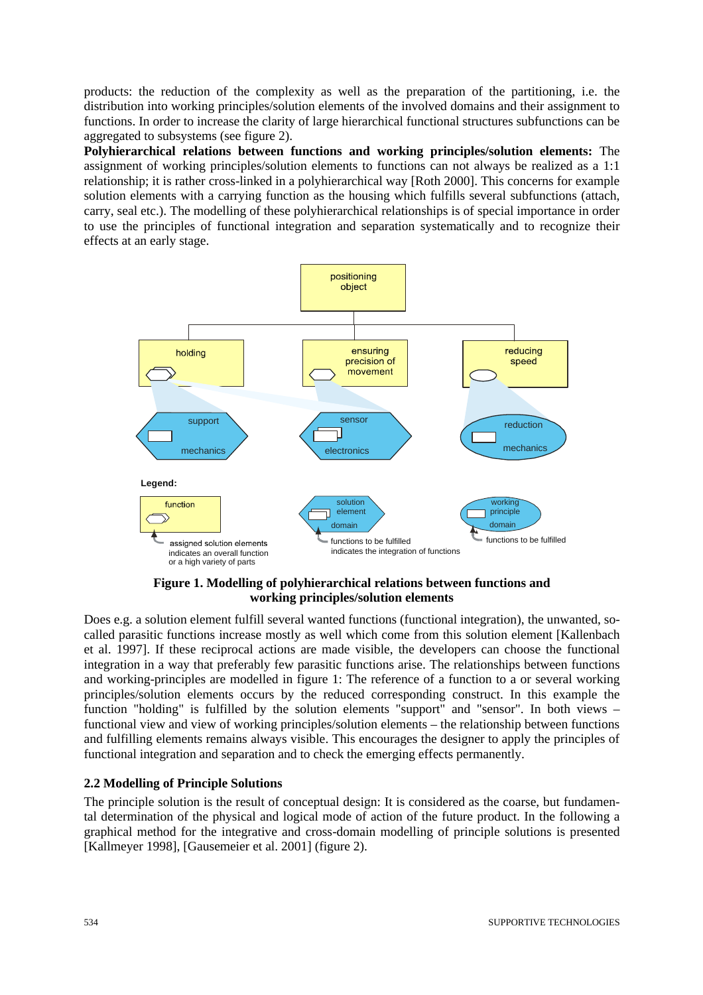products: the reduction of the complexity as well as the preparation of the partitioning, i.e. the distribution into working principles/solution elements of the involved domains and their assignment to functions. In order to increase the clarity of large hierarchical functional structures subfunctions can be aggregated to subsystems (see figure 2).

**Polyhierarchical relations between functions and working principles/solution elements:** The assignment of working principles/solution elements to functions can not always be realized as a 1:1 relationship; it is rather cross-linked in a polyhierarchical way [Roth 2000]. This concerns for example solution elements with a carrying function as the housing which fulfills several subfunctions (attach, carry, seal etc.). The modelling of these polyhierarchical relationships is of special importance in order to use the principles of functional integration and separation systematically and to recognize their effects at an early stage.



**Figure 1. Modelling of polyhierarchical relations between functions and working principles/solution elements**

Does e.g. a solution element fulfill several wanted functions (functional integration), the unwanted, socalled parasitic functions increase mostly as well which come from this solution element [Kallenbach et al. 1997]. If these reciprocal actions are made visible, the developers can choose the functional integration in a way that preferably few parasitic functions arise. The relationships between functions and working-principles are modelled in figure 1: The reference of a function to a or several working principles/solution elements occurs by the reduced corresponding construct. In this example the function "holding" is fulfilled by the solution elements "support" and "sensor". In both views – functional view and view of working principles/solution elements – the relationship between functions and fulfilling elements remains always visible. This encourages the designer to apply the principles of functional integration and separation and to check the emerging effects permanently.

#### **2.2 Modelling of Principle Solutions**

The principle solution is the result of conceptual design: It is considered as the coarse, but fundamental determination of the physical and logical mode of action of the future product. In the following a graphical method for the integrative and cross-domain modelling of principle solutions is presented [Kallmeyer 1998], [Gausemeier et al. 2001] (figure 2).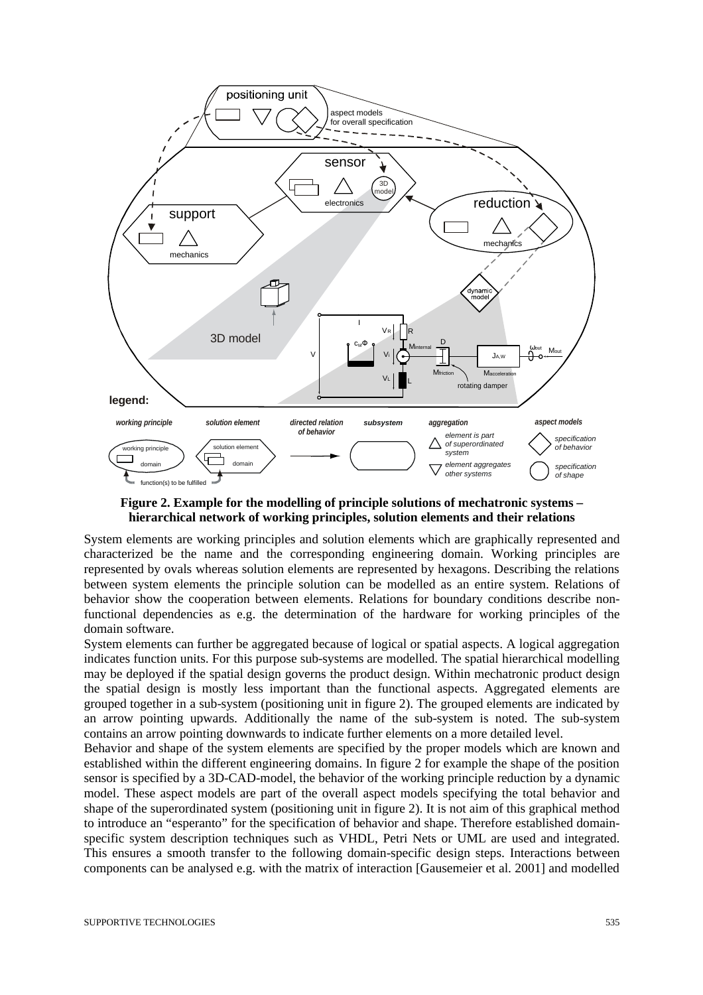

**Figure 2. Example for the modelling of principle solutions of mechatronic systems – hierarchical network of working principles, solution elements and their relations**

System elements are working principles and solution elements which are graphically represented and characterized be the name and the corresponding engineering domain. Working principles are represented by ovals whereas solution elements are represented by hexagons. Describing the relations between system elements the principle solution can be modelled as an entire system. Relations of behavior show the cooperation between elements. Relations for boundary conditions describe nonfunctional dependencies as e.g. the determination of the hardware for working principles of the domain software.

System elements can further be aggregated because of logical or spatial aspects. A logical aggregation indicates function units. For this purpose sub-systems are modelled. The spatial hierarchical modelling may be deployed if the spatial design governs the product design. Within mechatronic product design the spatial design is mostly less important than the functional aspects. Aggregated elements are grouped together in a sub-system (positioning unit in figure 2). The grouped elements are indicated by an arrow pointing upwards. Additionally the name of the sub-system is noted. The sub-system contains an arrow pointing downwards to indicate further elements on a more detailed level.

Behavior and shape of the system elements are specified by the proper models which are known and established within the different engineering domains. In figure 2 for example the shape of the position sensor is specified by a 3D-CAD-model, the behavior of the working principle reduction by a dynamic model. These aspect models are part of the overall aspect models specifying the total behavior and shape of the superordinated system (positioning unit in figure 2). It is not aim of this graphical method to introduce an "esperanto" for the specification of behavior and shape. Therefore established domainspecific system description techniques such as VHDL, Petri Nets or UML are used and integrated. This ensures a smooth transfer to the following domain-specific design steps. Interactions between components can be analysed e.g. with the matrix of interaction [Gausemeier et al. 2001] and modelled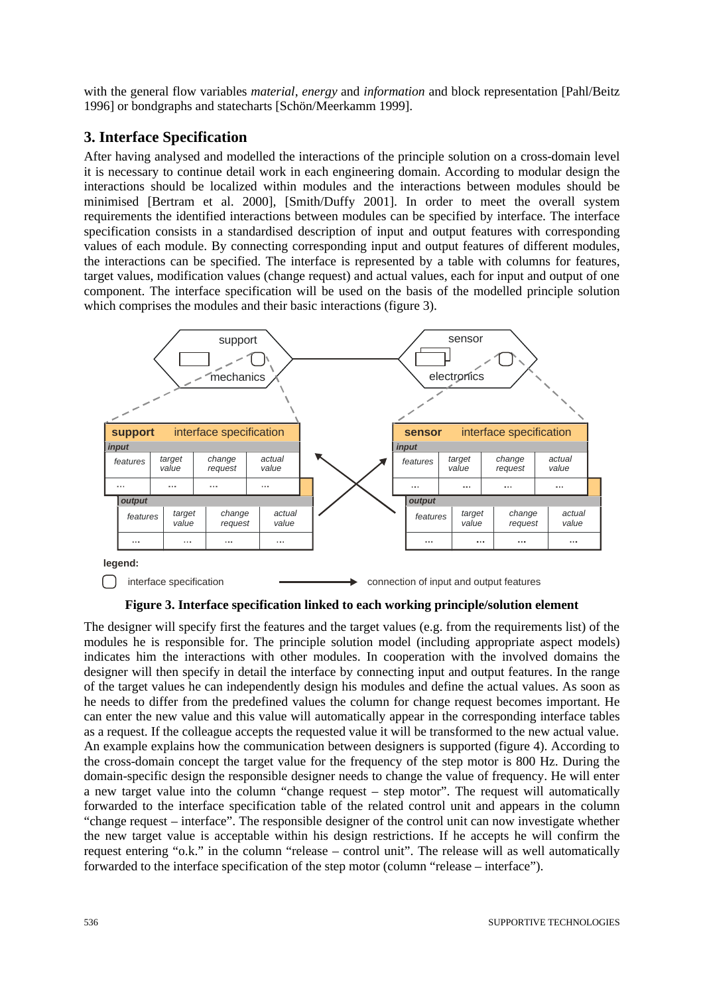with the general flow variables *material*, *energy* and *information* and block representation [Pahl/Beitz 1996] or bondgraphs and statecharts [Schön/Meerkamm 1999].

## **3. Interface Specification**

After having analysed and modelled the interactions of the principle solution on a cross-domain level it is necessary to continue detail work in each engineering domain. According to modular design the interactions should be localized within modules and the interactions between modules should be minimised [Bertram et al. 2000], [Smith/Duffy 2001]. In order to meet the overall system requirements the identified interactions between modules can be specified by interface. The interface specification consists in a standardised description of input and output features with corresponding values of each module. By connecting corresponding input and output features of different modules, the interactions can be specified. The interface is represented by a table with columns for features, target values, modification values (change request) and actual values, each for input and output of one component. The interface specification will be used on the basis of the modelled principle solution which comprises the modules and their basic interactions (figure 3).



**Figure 3. Interface specification linked to each working principle/solution element**

The designer will specify first the features and the target values (e.g. from the requirements list) of the modules he is responsible for. The principle solution model (including appropriate aspect models) indicates him the interactions with other modules. In cooperation with the involved domains the designer will then specify in detail the interface by connecting input and output features. In the range of the target values he can independently design his modules and define the actual values. As soon as he needs to differ from the predefined values the column for change request becomes important. He can enter the new value and this value will automatically appear in the corresponding interface tables as a request. If the colleague accepts the requested value it will be transformed to the new actual value. An example explains how the communication between designers is supported (figure 4). According to the cross-domain concept the target value for the frequency of the step motor is 800 Hz. During the domain-specific design the responsible designer needs to change the value of frequency. He will enter a new target value into the column "change request – step motor". The request will automatically forwarded to the interface specification table of the related control unit and appears in the column "change request – interface". The responsible designer of the control unit can now investigate whether the new target value is acceptable within his design restrictions. If he accepts he will confirm the request entering "o.k." in the column "release – control unit". The release will as well automatically forwarded to the interface specification of the step motor (column "release – interface").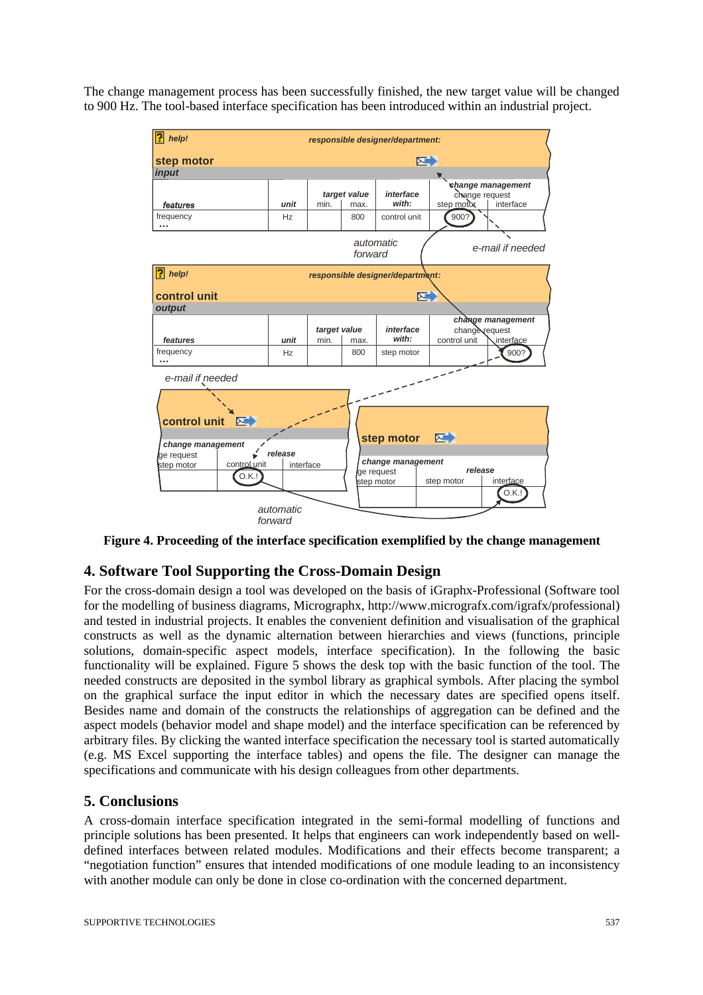The change management process has been successfully finished, the new target value will be changed to 900 Hz. The tool-based interface specification has been introduced within an industrial project.



**Figure 4. Proceeding of the interface specification exemplified by the change management** 

### **4. Software Tool Supporting the Cross-Domain Design**

For the cross-domain design a tool was developed on the basis of iGraphx-Professional (Software tool for the modelling of business diagrams, Micrographx, http://www.micrografx.com/igrafx/professional) and tested in industrial projects. It enables the convenient definition and visualisation of the graphical constructs as well as the dynamic alternation between hierarchies and views (functions, principle solutions, domain-specific aspect models, interface specification). In the following the basic functionality will be explained. Figure 5 shows the desk top with the basic function of the tool. The needed constructs are deposited in the symbol library as graphical symbols. After placing the symbol on the graphical surface the input editor in which the necessary dates are specified opens itself. Besides name and domain of the constructs the relationships of aggregation can be defined and the aspect models (behavior model and shape model) and the interface specification can be referenced by arbitrary files. By clicking the wanted interface specification the necessary tool is started automatically (e.g. MS Excel supporting the interface tables) and opens the file. The designer can manage the specifications and communicate with his design colleagues from other departments.

#### **5. Conclusions**

A cross-domain interface specification integrated in the semi-formal modelling of functions and principle solutions has been presented. It helps that engineers can work independently based on welldefined interfaces between related modules. Modifications and their effects become transparent; a "negotiation function" ensures that intended modifications of one module leading to an inconsistency with another module can only be done in close co-ordination with the concerned department.